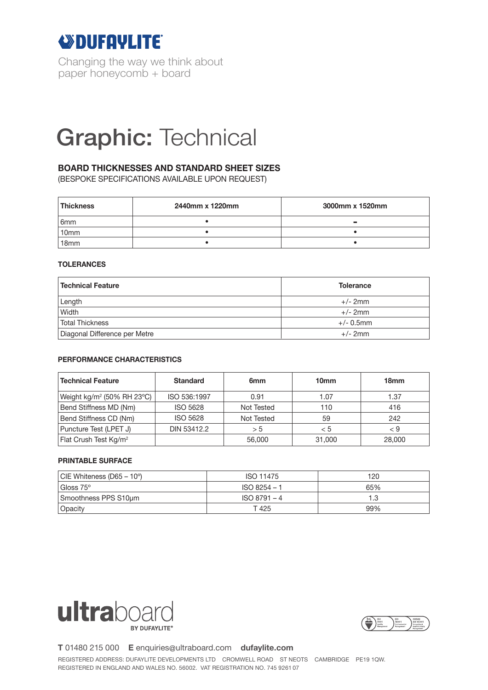

Changing the way we think about paper honeycomb + board

# Graphic: Technical

### **BOARD THICKNESSES AND STANDARD SHEET SIZES**

(BESPOKE SPECIFICATIONS AVAILABLE UPON REQUEST)

| <b>Thickness</b> | 2440mm x 1220mm | 3000mm x 1520mm |  |
|------------------|-----------------|-----------------|--|
| 6 <sub>mm</sub>  |                 | $\equiv$        |  |
| 10 <sub>mm</sub> |                 |                 |  |
| 18 <sub>mm</sub> |                 |                 |  |

#### **TOLERANCES**

| <b>Technical Feature</b>      | <b>Tolerance</b> |  |
|-------------------------------|------------------|--|
| Length                        | $+/- 2mm$        |  |
| Width                         | $+/- 2mm$        |  |
| <b>Total Thickness</b>        | $+/- 0.5$ mm     |  |
| Diagonal Difference per Metre | $+/- 2mm$        |  |

#### **PERFORMANCE CHARACTERISTICS**

| <b>Technical Feature</b>               | <b>Standard</b> | 6 <sub>mm</sub> | 10 <sub>mm</sub> | 18 <sub>mm</sub> |
|----------------------------------------|-----------------|-----------------|------------------|------------------|
| Weight kg/m <sup>2</sup> (50% RH 23°C) | ISO 536:1997    | 0.91            | 1.07             | 1.37             |
| Bend Stiffness MD (Nm)                 | <b>ISO 5628</b> | Not Tested      | 110              | 416              |
| Bend Stiffness CD (Nm)                 | <b>ISO 5628</b> | Not Tested      | 59               | 242              |
| Puncture Test (LPET J)                 | DIN 53412.2     | > 5             | < 5              | < 9              |
| Flat Crush Test Kg/m <sup>2</sup>      |                 | 56,000          | 31,000           | 28,000           |

#### **PRINTABLE SURFACE**

| $ CIE Whiteness (D65 – 10^{\circ}) $ | ISO 11475      | 120 |
|--------------------------------------|----------------|-----|
| Gloss 75°                            | ISO 8254 - 1   | 65% |
| Smoothness PPS S10um                 | $ISO 8791 - 4$ |     |
| Opacity                              | T 425          | 99% |





**T** 01480 215 000 **E** enquiries@ultraboard.com **dufaylite.com**

REGISTERED ADDRESS: DUFAYLITE DEVELOPMENTS LTD CROMWELL ROAD ST NEOTS CAMBRIDGE PE19 1QW. REGISTERED IN ENGLAND AND WALES NO. 56002. VAT REGISTRATION NO. 745 9261 07